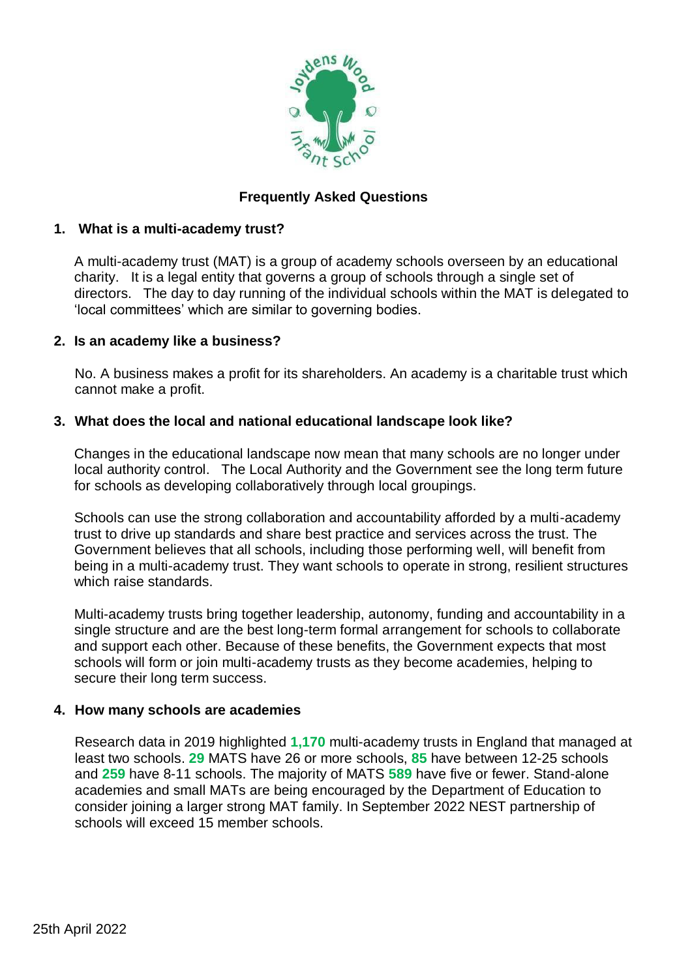

## **Frequently Asked Questions**

## **1. What is a multi-academy trust?**

A multi-academy trust (MAT) is a group of academy schools overseen by an educational charity. It is a legal entity that governs a group of schools through a single set of directors. The day to day running of the individual schools within the MAT is delegated to 'local committees' which are similar to governing bodies.

#### **2. Is an academy like a business?**

No. A business makes a profit for its shareholders. An academy is a charitable trust which cannot make a profit.

#### **3. What does the local and national educational landscape look like?**

Changes in the educational landscape now mean that many schools are no longer under local authority control. The Local Authority and the Government see the long term future for schools as developing collaboratively through local groupings.

Schools can use the strong collaboration and accountability afforded by a multi-academy trust to drive up standards and share best practice and services across the trust. The Government believes that all schools, including those performing well, will benefit from being in a multi-academy trust. They want schools to operate in strong, resilient structures which raise standards.

Multi-academy trusts bring together leadership, autonomy, funding and accountability in a single structure and are the best long-term formal arrangement for schools to collaborate and support each other. Because of these benefits, the Government expects that most schools will form or join multi-academy trusts as they become academies, helping to secure their long term success.

#### **4. How many schools are academies**

Research data in 2019 highlighted **1,170** multi-academy trusts in England that managed at least two schools. **29** MATS have 26 or more schools, **85** have between 12-25 schools and **259** have 8-11 schools. The majority of MATS **589** have five or fewer. Stand-alone academies and small MATs are being encouraged by the Department of Education to consider joining a larger strong MAT family. In September 2022 NEST partnership of schools will exceed 15 member schools.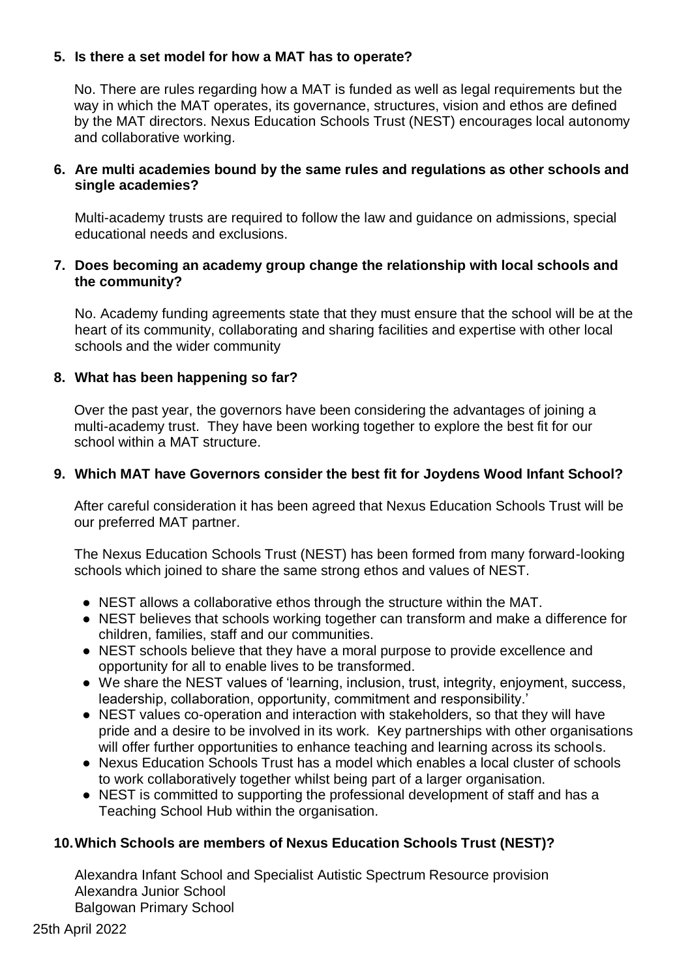## **5. Is there a set model for how a MAT has to operate?**

No. There are rules regarding how a MAT is funded as well as legal requirements but the way in which the MAT operates, its governance, structures, vision and ethos are defined by the MAT directors. Nexus Education Schools Trust (NEST) encourages local autonomy and collaborative working.

#### **6. Are multi academies bound by the same rules and regulations as other schools and single academies?**

Multi-academy trusts are required to follow the law and guidance on admissions, special educational needs and exclusions.

#### **7. Does becoming an academy group change the relationship with local schools and the community?**

No. Academy funding agreements state that they must ensure that the school will be at the heart of its community, collaborating and sharing facilities and expertise with other local schools and the wider community

#### **8. What has been happening so far?**

Over the past year, the governors have been considering the advantages of joining a multi-academy trust. They have been working together to explore the best fit for our school within a MAT structure.

#### **9. Which MAT have Governors consider the best fit for Joydens Wood Infant School?**

After careful consideration it has been agreed that Nexus Education Schools Trust will be our preferred MAT partner.

The Nexus Education Schools Trust (NEST) has been formed from many forward-looking schools which joined to share the same strong ethos and values of NEST.

- NEST allows a collaborative ethos through the structure within the MAT.
- NEST believes that schools working together can transform and make a difference for children, families, staff and our communities.
- NEST schools believe that they have a moral purpose to provide excellence and opportunity for all to enable lives to be transformed.
- We share the NEST values of 'learning, inclusion, trust, integrity, enjoyment, success, leadership, collaboration, opportunity, commitment and responsibility.'
- NEST values co-operation and interaction with stakeholders, so that they will have pride and a desire to be involved in its work. Key partnerships with other organisations will offer further opportunities to enhance teaching and learning across its schools.
- Nexus Education Schools Trust has a model which enables a local cluster of schools to work collaboratively together whilst being part of a larger organisation.
- NEST is committed to supporting the professional development of staff and has a Teaching School Hub within the organisation.

## **10.Which Schools are members of Nexus Education Schools Trust (NEST)?**

Alexandra Infant School and Specialist Autistic Spectrum Resource provision Alexandra Junior School Balgowan Primary School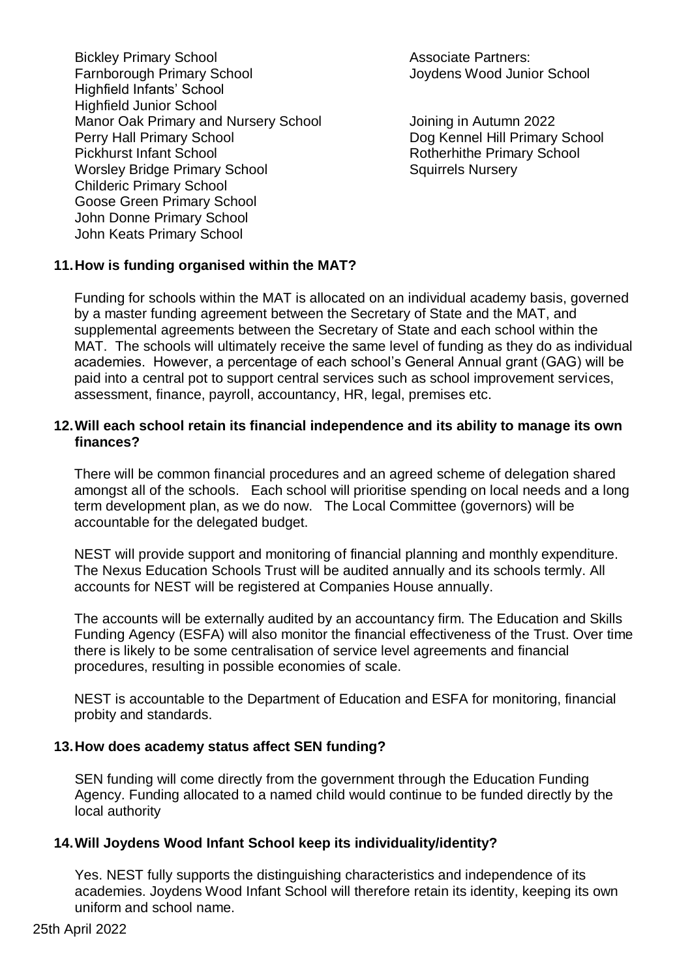- Bickley Primary School **Associate Partners:** Farnborough Primary School **Farnborough Primary School** Highfield Infants' School Highfield Junior School Manor Oak Primary and Nursery School Joining in Autumn 2022 Perry Hall Primary School Dog Kennel Hill Primary School Pickhurst Infant School **Rotherhithe Primary School** Worsley Bridge Primary School Squirrels Nursery Childeric Primary School Goose Green Primary School John Donne Primary School John Keats Primary School
	-

## **11.How is funding organised within the MAT?**

Funding for schools within the MAT is allocated on an individual academy basis, governed by a master funding agreement between the Secretary of State and the MAT, and supplemental agreements between the Secretary of State and each school within the MAT. The schools will ultimately receive the same level of funding as they do as individual academies. However, a percentage of each school's General Annual grant (GAG) will be paid into a central pot to support central services such as school improvement services, assessment, finance, payroll, accountancy, HR, legal, premises etc.

#### **12.Will each school retain its financial independence and its ability to manage its own finances?**

There will be common financial procedures and an agreed scheme of delegation shared amongst all of the schools. Each school will prioritise spending on local needs and a long term development plan, as we do now. The Local Committee (governors) will be accountable for the delegated budget.

NEST will provide support and monitoring of financial planning and monthly expenditure. The Nexus Education Schools Trust will be audited annually and its schools termly. All accounts for NEST will be registered at Companies House annually.

The accounts will be externally audited by an accountancy firm. The Education and Skills Funding Agency (ESFA) will also monitor the financial effectiveness of the Trust. Over time there is likely to be some centralisation of service level agreements and financial procedures, resulting in possible economies of scale.

NEST is accountable to the Department of Education and ESFA for monitoring, financial probity and standards.

#### **13.How does academy status affect SEN funding?**

SEN funding will come directly from the government through the Education Funding Agency. Funding allocated to a named child would continue to be funded directly by the local authority

#### **14.Will Joydens Wood Infant School keep its individuality/identity?**

Yes. NEST fully supports the distinguishing characteristics and independence of its academies. Joydens Wood Infant School will therefore retain its identity, keeping its own uniform and school name.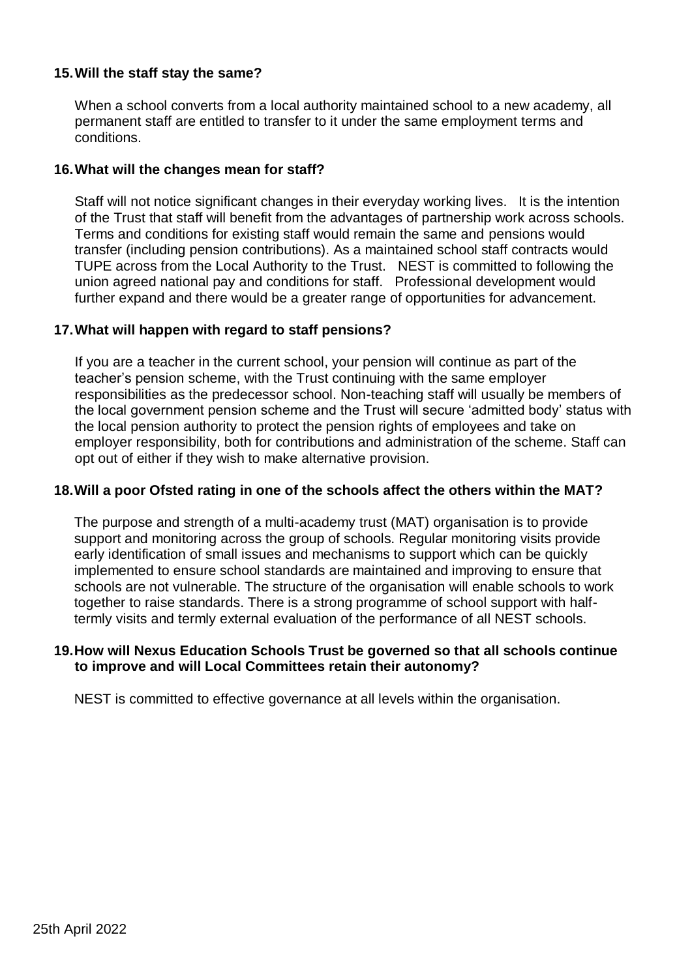#### **15.Will the staff stay the same?**

When a school converts from a local authority maintained school to a new academy, all permanent staff are entitled to transfer to it under the same employment terms and conditions.

#### **16.What will the changes mean for staff?**

Staff will not notice significant changes in their everyday working lives. It is the intention of the Trust that staff will benefit from the advantages of partnership work across schools. Terms and conditions for existing staff would remain the same and pensions would transfer (including pension contributions). As a maintained school staff contracts would TUPE across from the Local Authority to the Trust. NEST is committed to following the union agreed national pay and conditions for staff. Professional development would further expand and there would be a greater range of opportunities for advancement.

#### **17.What will happen with regard to staff pensions?**

If you are a teacher in the current school, your pension will continue as part of the teacher's pension scheme, with the Trust continuing with the same employer responsibilities as the predecessor school. Non-teaching staff will usually be members of the local government pension scheme and the Trust will secure 'admitted body' status with the local pension authority to protect the pension rights of employees and take on employer responsibility, both for contributions and administration of the scheme. Staff can opt out of either if they wish to make alternative provision.

#### **18.Will a poor Ofsted rating in one of the schools affect the others within the MAT?**

The purpose and strength of a multi-academy trust (MAT) organisation is to provide support and monitoring across the group of schools. Regular monitoring visits provide early identification of small issues and mechanisms to support which can be quickly implemented to ensure school standards are maintained and improving to ensure that schools are not vulnerable. The structure of the organisation will enable schools to work together to raise standards. There is a strong programme of school support with halftermly visits and termly external evaluation of the performance of all NEST schools.

#### **19.How will Nexus Education Schools Trust be governed so that all schools continue to improve and will Local Committees retain their autonomy?**

NEST is committed to effective governance at all levels within the organisation.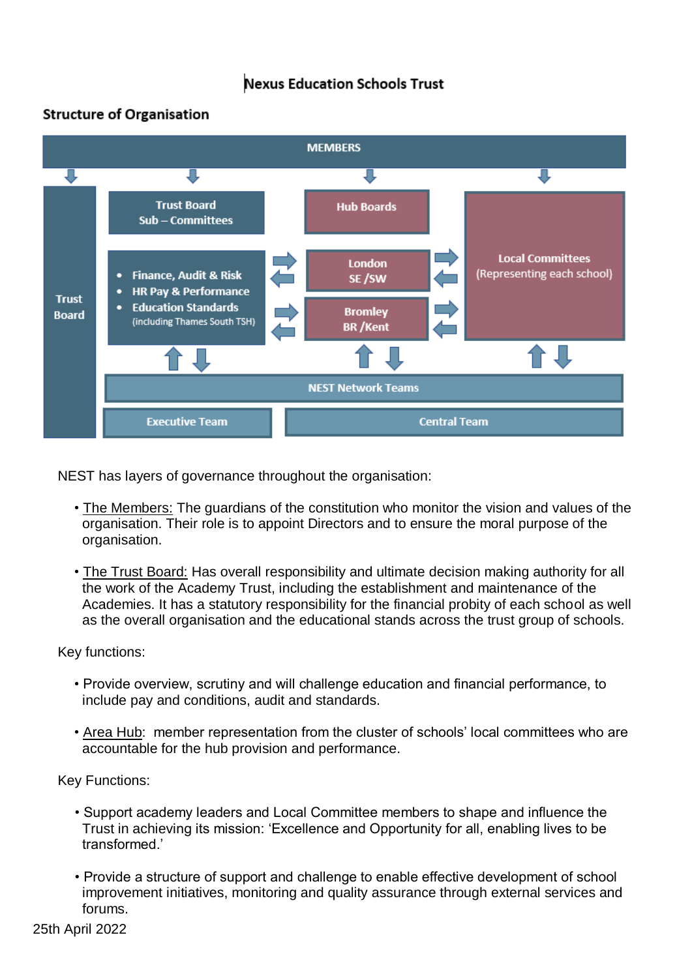# **Nexus Education Schools Trust**

# **Structure of Organisation**



NEST has layers of governance throughout the organisation:

- The Members: The guardians of the constitution who monitor the vision and values of the organisation. Their role is to appoint Directors and to ensure the moral purpose of the organisation.
- The Trust Board: Has overall responsibility and ultimate decision making authority for all the work of the Academy Trust, including the establishment and maintenance of the Academies. It has a statutory responsibility for the financial probity of each school as well as the overall organisation and the educational stands across the trust group of schools.

Key functions:

- Provide overview, scrutiny and will challenge education and financial performance, to include pay and conditions, audit and standards.
- Area Hub: member representation from the cluster of schools' local committees who are accountable for the hub provision and performance.

Key Functions:

- Support academy leaders and Local Committee members to shape and influence the Trust in achieving its mission: 'Excellence and Opportunity for all, enabling lives to be transformed.'
- Provide a structure of support and challenge to enable effective development of school improvement initiatives, monitoring and quality assurance through external services and forums.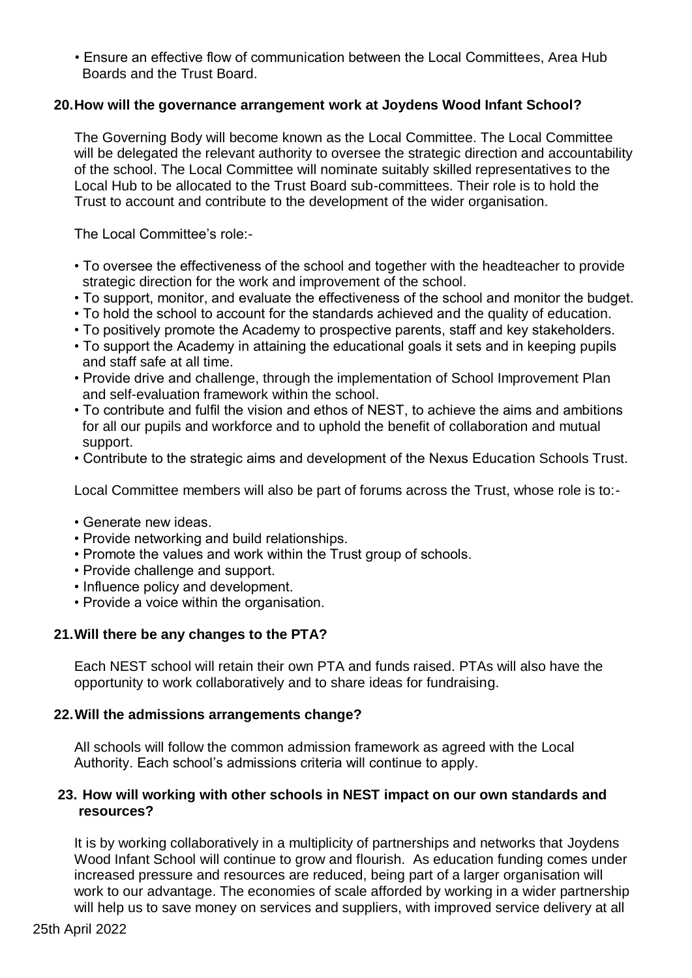• Ensure an effective flow of communication between the Local Committees, Area Hub Boards and the Trust Board.

#### **20.How will the governance arrangement work at Joydens Wood Infant School?**

The Governing Body will become known as the Local Committee. The Local Committee will be delegated the relevant authority to oversee the strategic direction and accountability of the school. The Local Committee will nominate suitably skilled representatives to the Local Hub to be allocated to the Trust Board sub-committees. Their role is to hold the Trust to account and contribute to the development of the wider organisation.

The Local Committee's role:-

- To oversee the effectiveness of the school and together with the headteacher to provide strategic direction for the work and improvement of the school.
- To support, monitor, and evaluate the effectiveness of the school and monitor the budget.
- To hold the school to account for the standards achieved and the quality of education.
- To positively promote the Academy to prospective parents, staff and key stakeholders.
- To support the Academy in attaining the educational goals it sets and in keeping pupils and staff safe at all time.
- Provide drive and challenge, through the implementation of School Improvement Plan and self-evaluation framework within the school.
- To contribute and fulfil the vision and ethos of NEST, to achieve the aims and ambitions for all our pupils and workforce and to uphold the benefit of collaboration and mutual support.
- Contribute to the strategic aims and development of the Nexus Education Schools Trust.

Local Committee members will also be part of forums across the Trust, whose role is to:-

- Generate new ideas.
- Provide networking and build relationships.
- Promote the values and work within the Trust group of schools.
- Provide challenge and support.
- Influence policy and development.
- Provide a voice within the organisation.

#### **21.Will there be any changes to the PTA?**

Each NEST school will retain their own PTA and funds raised. PTAs will also have the opportunity to work collaboratively and to share ideas for fundraising.

#### **22.Will the admissions arrangements change?**

All schools will follow the common admission framework as agreed with the Local Authority. Each school's admissions criteria will continue to apply.

#### **23. How will working with other schools in NEST impact on our own standards and resources?**

It is by working collaboratively in a multiplicity of partnerships and networks that Joydens Wood Infant School will continue to grow and flourish. As education funding comes under increased pressure and resources are reduced, being part of a larger organisation will work to our advantage. The economies of scale afforded by working in a wider partnership will help us to save money on services and suppliers, with improved service delivery at all